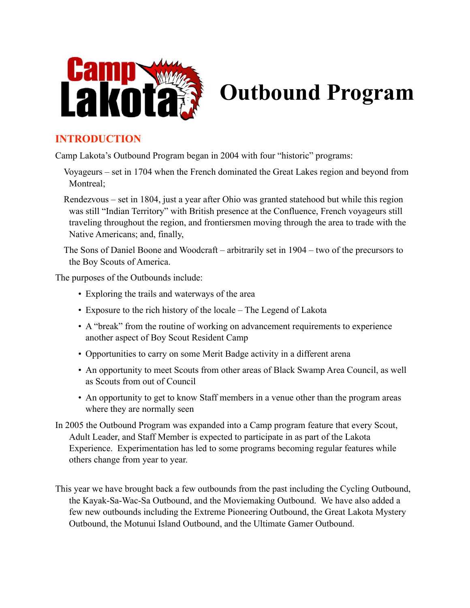

# **Outbound Program**

# **INTRODUCTION**

Camp Lakota's Outbound Program began in 2004 with four "historic" programs:

- Voyageurs set in 1704 when the French dominated the Great Lakes region and beyond from Montreal;
- Rendezvous set in 1804, just a year after Ohio was granted statehood but while this region was still "Indian Territory" with British presence at the Confluence, French voyageurs still traveling throughout the region, and frontiersmen moving through the area to trade with the Native Americans; and, finally,

 The Sons of Daniel Boone and Woodcraft – arbitrarily set in 1904 – two of the precursors to the Boy Scouts of America.

The purposes of the Outbounds include:

- Exploring the trails and waterways of the area
- Exposure to the rich history of the locale The Legend of Lakota
- A "break" from the routine of working on advancement requirements to experience another aspect of Boy Scout Resident Camp
- Opportunities to carry on some Merit Badge activity in a different arena
- An opportunity to meet Scouts from other areas of Black Swamp Area Council, as well as Scouts from out of Council
- An opportunity to get to know Staff members in a venue other than the program areas where they are normally seen
- In 2005 the Outbound Program was expanded into a Camp program feature that every Scout, Adult Leader, and Staff Member is expected to participate in as part of the Lakota Experience. Experimentation has led to some programs becoming regular features while others change from year to year.
- This year we have brought back a few outbounds from the past including the Cycling Outbound, the Kayak-Sa-Wac-Sa Outbound, and the Moviemaking Outbound. We have also added a few new outbounds including the Extreme Pioneering Outbound, the Great Lakota Mystery Outbound, the Motunui Island Outbound, and the Ultimate Gamer Outbound.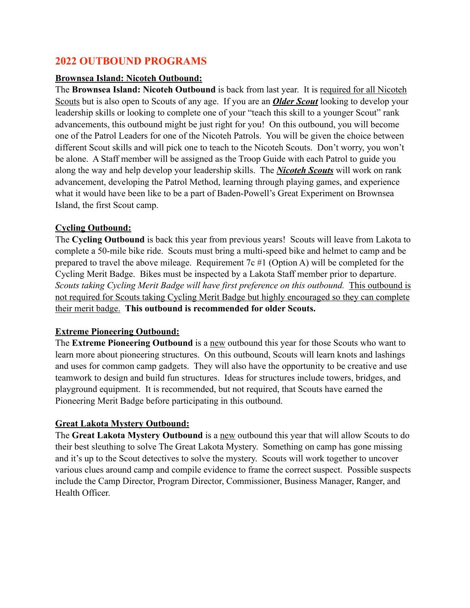### **2022 OUTBOUND PROGRAMS**

#### **Brownsea Island: Nicoteh Outbound:**

The **Brownsea Island: Nicoteh Outbound** is back from last year. It is required for all Nicoteh Scouts but is also open to Scouts of any age. If you are an *Older Scout* looking to develop your leadership skills or looking to complete one of your "teach this skill to a younger Scout" rank advancements, this outbound might be just right for you! On this outbound, you will become one of the Patrol Leaders for one of the Nicoteh Patrols. You will be given the choice between different Scout skills and will pick one to teach to the Nicoteh Scouts. Don't worry, you won't be alone. A Staff member will be assigned as the Troop Guide with each Patrol to guide you along the way and help develop your leadership skills. The *Nicoteh Scouts* will work on rank advancement, developing the Patrol Method, learning through playing games, and experience what it would have been like to be a part of Baden-Powell's Great Experiment on Brownsea Island, the first Scout camp.

#### **Cycling Outbound:**

The **Cycling Outbound** is back this year from previous years! Scouts will leave from Lakota to complete a 50-mile bike ride. Scouts must bring a multi-speed bike and helmet to camp and be prepared to travel the above mileage. Requirement 7c #1 (Option A) will be completed for the Cycling Merit Badge. Bikes must be inspected by a Lakota Staff member prior to departure. *Scouts taking Cycling Merit Badge will have first preference on this outbound.* This outbound is not required for Scouts taking Cycling Merit Badge but highly encouraged so they can complete their merit badge. **This outbound is recommended for older Scouts.**

#### **Extreme Pioneering Outbound:**

The **Extreme Pioneering Outbound** is a new outbound this year for those Scouts who want to learn more about pioneering structures. On this outbound, Scouts will learn knots and lashings and uses for common camp gadgets. They will also have the opportunity to be creative and use teamwork to design and build fun structures. Ideas for structures include towers, bridges, and playground equipment. It is recommended, but not required, that Scouts have earned the Pioneering Merit Badge before participating in this outbound.

#### **Great Lakota Mystery Outbound:**

The **Great Lakota Mystery Outbound** is a new outbound this year that will allow Scouts to do their best sleuthing to solve The Great Lakota Mystery. Something on camp has gone missing and it's up to the Scout detectives to solve the mystery. Scouts will work together to uncover various clues around camp and compile evidence to frame the correct suspect. Possible suspects include the Camp Director, Program Director, Commissioner, Business Manager, Ranger, and Health Officer.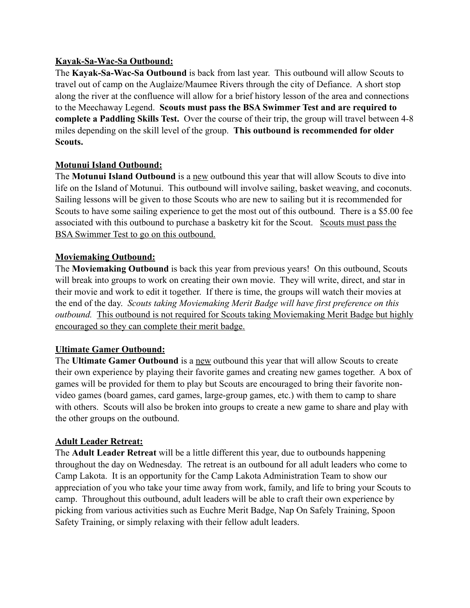#### **Kayak-Sa-Wac-Sa Outbound:**

The **Kayak-Sa-Wac-Sa Outbound** is back from last year. This outbound will allow Scouts to travel out of camp on the Auglaize/Maumee Rivers through the city of Defiance. A short stop along the river at the confluence will allow for a brief history lesson of the area and connections to the Meechaway Legend. **Scouts must pass the BSA Swimmer Test and are required to complete a Paddling Skills Test.** Over the course of their trip, the group will travel between 4-8 miles depending on the skill level of the group. **This outbound is recommended for older Scouts.**

#### **Motunui Island Outbound:**

The **Motunui Island Outbound** is a new outbound this year that will allow Scouts to dive into life on the Island of Motunui. This outbound will involve sailing, basket weaving, and coconuts. Sailing lessons will be given to those Scouts who are new to sailing but it is recommended for Scouts to have some sailing experience to get the most out of this outbound. There is a \$5.00 fee associated with this outbound to purchase a basketry kit for the Scout. Scouts must pass the BSA Swimmer Test to go on this outbound.

#### **Moviemaking Outbound:**

The **Moviemaking Outbound** is back this year from previous years! On this outbound, Scouts will break into groups to work on creating their own movie. They will write, direct, and star in their movie and work to edit it together. If there is time, the groups will watch their movies at the end of the day. *Scouts taking Moviemaking Merit Badge will have first preference on this outbound.* This outbound is not required for Scouts taking Moviemaking Merit Badge but highly encouraged so they can complete their merit badge.

#### **Ultimate Gamer Outbound:**

The **Ultimate Gamer Outbound** is a new outbound this year that will allow Scouts to create their own experience by playing their favorite games and creating new games together. A box of games will be provided for them to play but Scouts are encouraged to bring their favorite nonvideo games (board games, card games, large-group games, etc.) with them to camp to share with others. Scouts will also be broken into groups to create a new game to share and play with the other groups on the outbound.

#### **Adult Leader Retreat:**

The **Adult Leader Retreat** will be a little different this year, due to outbounds happening throughout the day on Wednesday. The retreat is an outbound for all adult leaders who come to Camp Lakota. It is an opportunity for the Camp Lakota Administration Team to show our appreciation of you who take your time away from work, family, and life to bring your Scouts to camp. Throughout this outbound, adult leaders will be able to craft their own experience by picking from various activities such as Euchre Merit Badge, Nap On Safely Training, Spoon Safety Training, or simply relaxing with their fellow adult leaders.